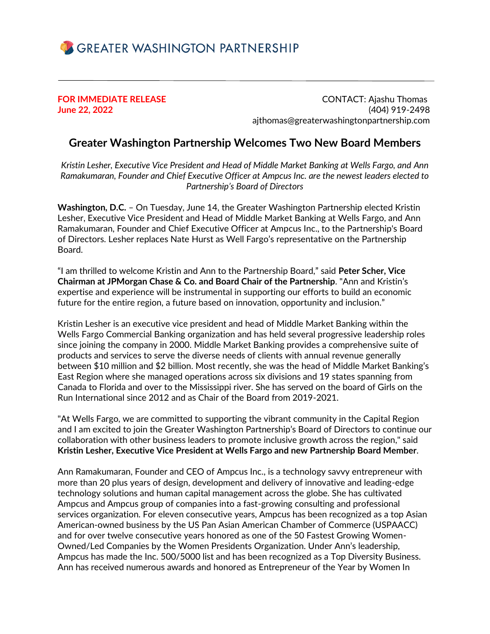

**FOR IMMEDIATE RELEASE** CONTACT: Ajashu Thomas **June 22, 2022** (404) 919-2498 ajthomas@greaterwashingtonpartnership.com

## **Greater Washington Partnership Welcomes Two New Board Members**

*Kristin Lesher, Executive Vice President and Head of Middle Market Banking at Wells Fargo, and Ann Ramakumaran, Founder and Chief Executive Officer at Ampcus Inc. are the newest leaders elected to Partnership's Board of Directors*

**Washington, D.C.** – On Tuesday, June 14, the Greater Washington Partnership elected Kristin Lesher, Executive Vice President and Head of Middle Market Banking at Wells Fargo, and Ann Ramakumaran, Founder and Chief Executive Officer at Ampcus Inc., to the Partnership's Board of Directors. Lesher replaces Nate Hurst as Well Fargo's representative on the Partnership Board.

"I am thrilled to welcome Kristin and Ann to the Partnership Board," said **Peter Scher, Vice Chairman at JPMorgan Chase & Co. and Board Chair of the Partnership**. "Ann and Kristin's expertise and experience will be instrumental in supporting our efforts to build an economic future for the entire region, a future based on innovation, opportunity and inclusion."

Kristin Lesher is an executive vice president and head of Middle Market Banking within the Wells Fargo Commercial Banking organization and has held several progressive leadership roles since joining the company in 2000. Middle Market Banking provides a comprehensive suite of products and services to serve the diverse needs of clients with annual revenue generally between \$10 million and \$2 billion. Most recently, she was the head of Middle Market Banking's East Region where she managed operations across six divisions and 19 states spanning from Canada to Florida and over to the Mississippi river. She has served on the board of Girls on the Run International since 2012 and as Chair of the Board from 2019-2021.

"At Wells Fargo, we are committed to supporting the vibrant community in the Capital Region and I am excited to join the Greater Washington Partnership's Board of Directors to continue our collaboration with other business leaders to promote inclusive growth across the region," said **Kristin Lesher, Executive Vice President at Wells Fargo and new Partnership Board Member**.

Ann Ramakumaran, Founder and CEO of Ampcus Inc., is a technology savvy entrepreneur with more than 20 plus years of design, development and delivery of innovative and leading-edge technology solutions and human capital management across the globe. She has cultivated Ampcus and Ampcus group of companies into a fast-growing consulting and professional services organization. For eleven consecutive years, Ampcus has been recognized as a top Asian American-owned business by the US Pan Asian American Chamber of Commerce (USPAACC) and for over twelve consecutive years honored as one of the 50 Fastest Growing Women-Owned/Led Companies by the Women Presidents Organization. Under Ann's leadership, Ampcus has made the Inc. 500/5000 list and has been recognized as a Top Diversity Business. Ann has received numerous awards and honored as Entrepreneur of the Year by Women In